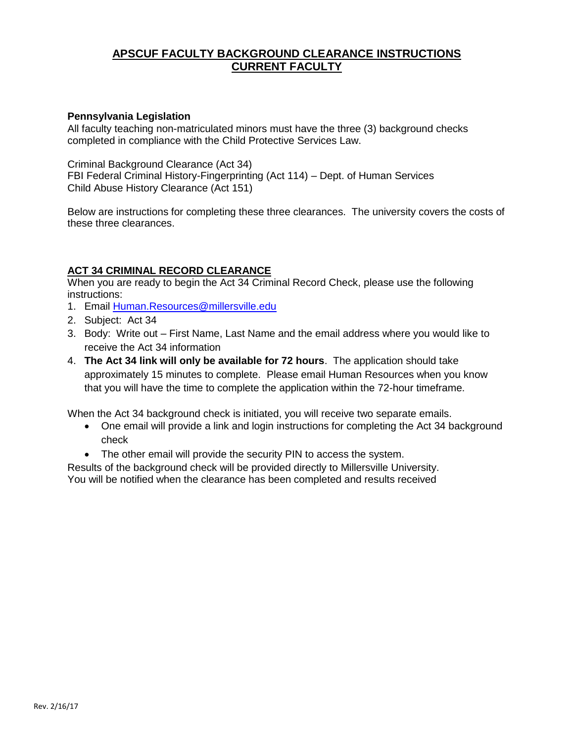# **APSCUF FACULTY BACKGROUND CLEARANCE INSTRUCTIONS CURRENT FACULTY**

## **Pennsylvania Legislation**

All faculty teaching non-matriculated minors must have the three (3) background checks completed in compliance with the Child Protective Services Law.

Criminal Background Clearance (Act 34) FBI Federal Criminal History-Fingerprinting (Act 114) – Dept. of Human Services Child Abuse History Clearance (Act 151)

Below are instructions for completing these three clearances. The university covers the costs of these three clearances.

## **ACT 34 CRIMINAL RECORD CLEARANCE**

When you are ready to begin the Act 34 Criminal Record Check, please use the following instructions:

- 1. Email [Human.Resources@millersville.edu](mailto:Human.Resources@millersville.edu)
- 2. Subject: Act 34
- 3. Body: Write out First Name, Last Name and the email address where you would like to receive the Act 34 information
- 4. **The Act 34 link will only be available for 72 hours**. The application should take approximately 15 minutes to complete. Please email Human Resources when you know that you will have the time to complete the application within the 72-hour timeframe.

When the Act 34 background check is initiated, you will receive two separate emails.

- One email will provide a link and login instructions for completing the Act 34 background check
- The other email will provide the security PIN to access the system.

Results of the background check will be provided directly to Millersville University. You will be notified when the clearance has been completed and results received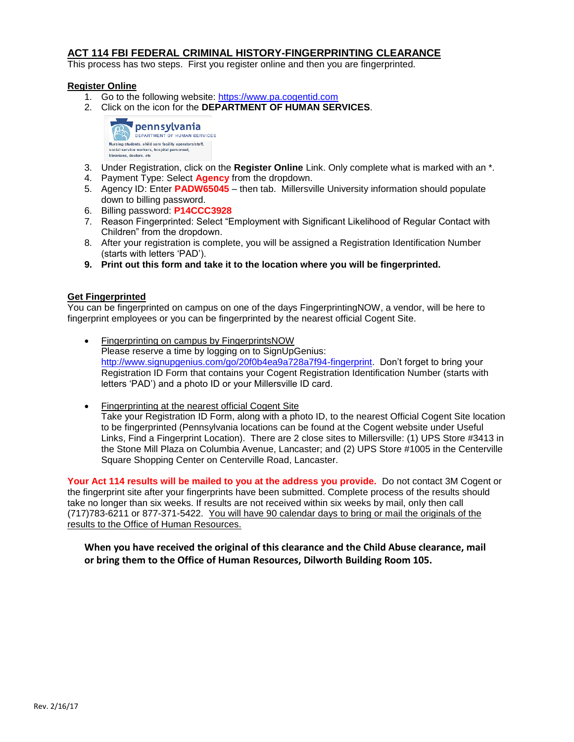## **ACT 114 FBI FEDERAL CRIMINAL HISTORY-FINGERPRINTING CLEARANCE**

This process has two steps. First you register online and then you are fingerprinted.

#### **Register Online**

- 1. Go to the following website: [https://www.pa.cogentid.com](https://www.pa.cogentid.com/)
- 2. Click on the icon for the **DEPARTMENT OF HUMAN SERVICES**.



- 3. Under Registration, click on the **Register Online** Link. Only complete what is marked with an \*.
- 4. Payment Type: Select **Agency** from the dropdown.
- 5. Agency ID: Enter **PADW65045** then tab. Millersville University information should populate down to billing password.
- 6. Billing password: **P14CCC3928**
- 7. Reason Fingerprinted: Select "Employment with Significant Likelihood of Regular Contact with Children" from the dropdown.
- 8. After your registration is complete, you will be assigned a Registration Identification Number (starts with letters 'PAD').
- **9. Print out this form and take it to the location where you will be fingerprinted.**

#### **Get Fingerprinted**

You can be fingerprinted on campus on one of the days FingerprintingNOW, a vendor, will be here to fingerprint employees or you can be fingerprinted by the nearest official Cogent Site.

- Fingerprinting on campus by FingerprintsNOW Please reserve a time by logging on to SignUpGenius: [http://www.signupgenius.com/go/20f0b4ea9a728a7f94-fingerprint.](http://www.signupgenius.com/go/20f0b4ea9a728a7f94-fingerprint) Don't forget to bring your Registration ID Form that contains your Cogent Registration Identification Number (starts with letters 'PAD') and a photo ID or your Millersville ID card.
- Fingerprinting at the nearest official Cogent Site Take your Registration ID Form, along with a photo ID, to the nearest Official Cogent Site location to be fingerprinted (Pennsylvania locations can be found at the Cogent website under Useful Links, Find a Fingerprint Location). There are 2 close sites to Millersville: (1) UPS Store #3413 in the Stone Mill Plaza on Columbia Avenue, Lancaster; and (2) UPS Store #1005 in the Centerville Square Shopping Center on Centerville Road, Lancaster.

**Your Act 114 results will be mailed to you at the address you provide.** Do not contact 3M Cogent or the fingerprint site after your fingerprints have been submitted. Complete process of the results should take no longer than six weeks. If results are not received within six weeks by mail, only then call (717)783-6211 or 877-371-5422. You will have 90 calendar days to bring or mail the originals of the results to the Office of Human Resources.

### **When you have received the original of this clearance and the Child Abuse clearance, mail or bring them to the Office of Human Resources, Dilworth Building Room 105.**